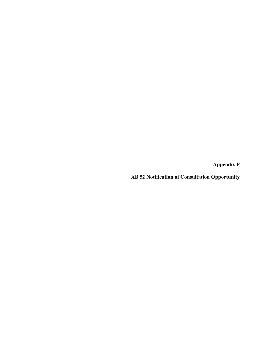**Appendix F** 

**AB 52 Notification of Consultation Opportunity**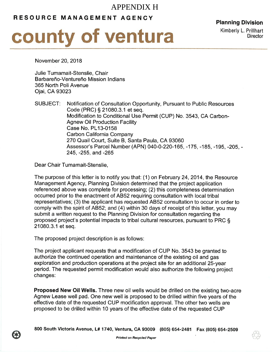## APPENDIX H

## RESOURCE MANAGEMENT AGENCY



Planning Division Kimberly L. Prillhart **Director** 

November 20,2018

Julie Tumamait-Stenslie, Chair Barbareño-Ventureño Mission Indians 365 North Poli Avenue Ojai, CA 93023

SUBJECT: Notification of Consultation Opportunity, Pursuant to Public Resources Code (PRC) S 21080.3.1 et seq. Modification to Conditional Use Permit (CUP) No. 3543, CA Carbon-Agnew Oil Production Facility Case No. PL13-0158 Carbon California Company 270 Quail Court, Suite B, Santa Paula, CA 93060 Assessor's Parcel Number (APN) O4O-O-220-165, -175, -185, -195, -205, - 245, -255, and -265

Dear Chair Tumamait-Stenslie,

The purpose of this letter is to notify you that: (1) on February 24,2014, the Resource Management Agency, Planning Division determined that the project application referenced above was complete for processing; (2) this completeness determination occurred prior to the enactment of AB52 requiring consultation with local tribal representatives; (3) the applicant has requested AB52 consultation to occur in order to comply with the spirit of AB52; and (4) within 30 days of receipt of this letter, you may submit a written request to the Planning Division for consultation regarding the proposed project's potential impacts to tribal cultural resources, pursuant to PRC \$ 21080.3.1 et seq.

The proposed project description is as follows:

The project applicant requests that a modificatíon of CUP No. 3543 be granted to authorize the continued operation and maintenance of the existing oil and gas exploration and production operations at the project site for an additional 25-year period. The requested permit modification would also authorize the following project changes:

**Proposed New Oil Wells.** Three new oil wells would be drilled on the existing two-acre Agnew Lease well pad. One new well is proposed to be drilled within five years of the effective date of the requested CUP modification approval. The other two wells are proposed to be drilled within 10 years of the effective date of the requested CUP

800 South Victoria Avenue, L# 1740, Ventura, CA 93009 (805) 654-2481 Fax (805) 654-2509<br>Printed on Recycled Paper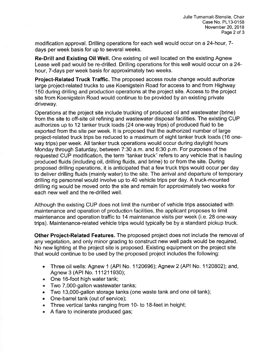modification approval. Drilling operations for each well would occur on a 24-hour, 7 days per week basis for up to several weeks.

Re-Drill and Existing Oil Well. One existing oil well located on the existing Agnew Lease well pad would be re-drilled. Drilling operations for this well would occur on a 24 hour, 7-days per week basis for approximately two weeks.

Project-Related Truck Traffic. The proposed access route change would authorize large project-related trucks to use Koenigstein Road for access to and from Highway 150 during drilling and production operations at the project site. Access to the project site from Koenigstein Road would continue to be provided by an existing private driveway.

Operations at the project site include trucking of produced oil and wastewater (brine) from the site to off-site oil refining and wastewater disposal facilities. The existing CUP authorizes up to 12 tanker truck loads (24 one-way trips) of produced fluid to be exported from the site per week. lt is proposed that the authorized number of large project-related truck trips be reduced to a maximum of eight tanker truck loads (16 oneway trips) per week. All tanker truck operations would occur during daylight hours Monday through Saturday, between 7:30 a.m. and 6:30 p.m. For purposes of the requested CUP modification, the term "tanker truck" refers to any vehicle that is hauling produced fluids (including oil, drilling fluids, and brine) to or from the site. During proposed drilling operations, it is anticipated that a few truck trips would occur per day to deliver drilling fluids (mainly water) to the site. The arrival and departure of temporary drilling rig personnel would involve up to 40 vehicle trips per day. A truck-mounted drilling rig would be moved onto the site and remain for approximately two weeks for each new well and the re-drilled well.

Although the existing CUP does not limit the number of vehicle trips associated with maintenance and operation of production facilities, the applicant proposes to limit maintenance and operation traffic to 14 maintenance visits per week (i.e. 28 one-way trips). Maintenance-related vehicle trips would typically be by a standard pickup truck.

Other Project-Related Features. The proposed project does not include the removal of any vegetation, and only minor grading to construct new well pads would be required. No new lighting at the project site is proposed. Existing equipment on the project site that would continue to be used by the proposed project includes the following:

- . Three oil wells: Agnew 1 (APl No. 1120696); Agnew 2 (APl No. 1120802); and, Agnew 3 (APl No. 111211930);
- . One 16-foot high water tank;
- . Two 7,000-gallon wastewater tanks;
- Two 13,000-gallon storage tanks (one waste tank and one oil tank);
- . . One-barrel tank (out of service);
- . Three vertical tanks ranging from 10- to 18-feet in height;
- A flare to incinerate produced gas;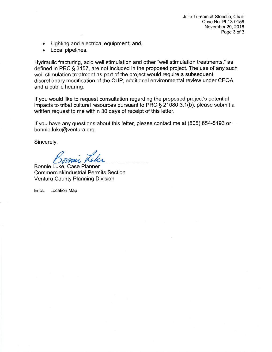Julie Tumamait-Stenslie, Chair Case No. PL13-0158 November 20,2018 Page 3 of 3

- Lighting and electrical equipment; and,
- . Local pipelines.

Hydraulic fracturing, acid well stimulation and other "well stimulation treatments," as defined in PRC § 3157, are not included in the proposed project. The use of any such well stimulation treatment as part of the project would require a subsequent discretionary modification of the CUP, additional environmental review under CEQA, and a public hearing.

lf you would like to request consultation regarding the proposed project's potential impacts to tribal cultural resources pursuant to PRC S 21080.3.1(b), please submit a written request to me within 30 days of receipt of this letter.

lf you have any questions about this letter, please contact me at (805) 654-5193 or bonnie.luke@ventura.org.

Sincerely,

Bonnie Luke, Case Planner Commercial/Industrial Permits Section Ventura County Planning Division

Encl.: Location Map